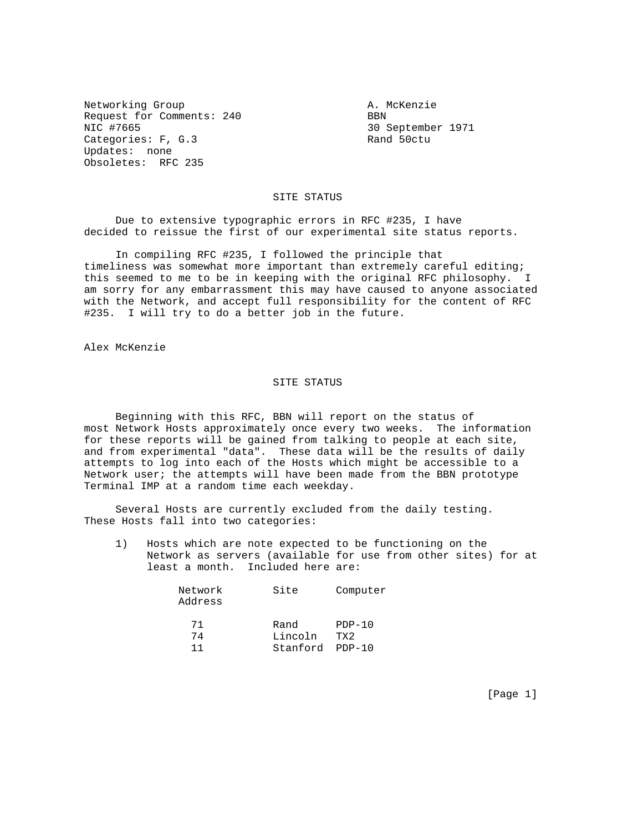Networking Group and The Communications are not a McKenzie Request for Comments: 240 BBN NIC #7665<br>Categories: F, G.3 3 30 September 1971 Categories: F, G.3 Updates: none Obsoletes: RFC 235

## SITE STATUS

 Due to extensive typographic errors in RFC #235, I have decided to reissue the first of our experimental site status reports.

 In compiling RFC #235, I followed the principle that timeliness was somewhat more important than extremely careful editing; this seemed to me to be in keeping with the original RFC philosophy. I am sorry for any embarrassment this may have caused to anyone associated with the Network, and accept full responsibility for the content of RFC #235. I will try to do a better job in the future.

Alex McKenzie

## SITE STATUS

 Beginning with this RFC, BBN will report on the status of most Network Hosts approximately once every two weeks. The information for these reports will be gained from talking to people at each site, and from experimental "data". These data will be the results of daily attempts to log into each of the Hosts which might be accessible to a Network user; the attempts will have been made from the BBN prototype Terminal IMP at a random time each weekday.

 Several Hosts are currently excluded from the daily testing. These Hosts fall into two categories:

 1) Hosts which are note expected to be functioning on the Network as servers (available for use from other sites) for at least a month. Included here are:

| Network<br>Address | Site     | Computer |  |  |
|--------------------|----------|----------|--|--|
| 71                 | Rand     | $PDP-10$ |  |  |
| 74                 | Lincoln  | TX2      |  |  |
|                    | Stanford | PDP-10   |  |  |

[Page 1]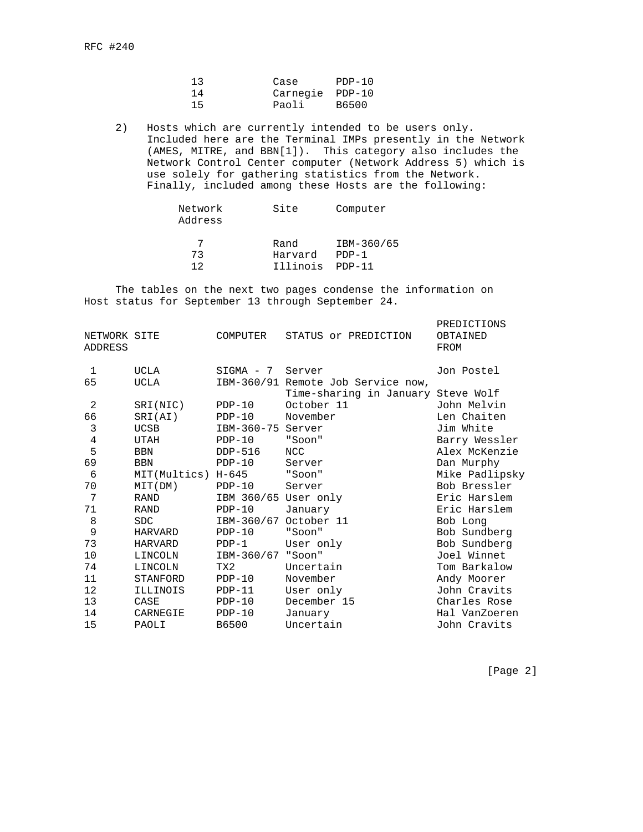| 13 | Case  | PDP-10          |  |
|----|-------|-----------------|--|
| 14 |       | Carnegie PDP-10 |  |
| 15 | Paoli | B6500           |  |

 2) Hosts which are currently intended to be users only. Included here are the Terminal IMPs presently in the Network (AMES, MITRE, and BBN[1]). This category also includes the Network Control Center computer (Network Address 5) which is use solely for gathering statistics from the Network. Finally, included among these Hosts are the following:

| Network<br>Address | Site     | Computer   |
|--------------------|----------|------------|
|                    | Rand     | IBM-360/65 |
| 73                 | Harvard  | $PDP-1$    |
| 1 ລ                | Illinois | $PDP-11$   |

 The tables on the next two pages condense the information on Host status for September 13 through September 24.

| NETWORK SITE<br><b>ADDRESS</b> |                    | COMPUTER             | STATUS or PREDICTION               | PREDICTIONS<br>OBTAINED<br>FROM |
|--------------------------------|--------------------|----------------------|------------------------------------|---------------------------------|
| 1                              | UCLA               | SIGMA - 7            | Server                             | Jon Postel                      |
| 65                             | <b>UCLA</b>        |                      | IBM-360/91 Remote Job Service now, |                                 |
|                                |                    |                      | Time-sharing in January Steve Wolf |                                 |
| 2                              | SRI(NIC)           | $PDP-10$             | October 11                         | John Melvin                     |
| 66                             | SRI(AI)            | $PDP-10$             | November                           | Len Chaiten                     |
| 3                              | <b>UCSB</b>        | IBM-360-75 Server    |                                    | Jim White                       |
| $\overline{4}$                 | UTAH               | $PDP-10$             | "Soon"                             | Barry Wessler                   |
| 5                              | <b>BBN</b>         | DDP-516              | <b>NCC</b>                         | Alex McKenzie                   |
| 69                             | <b>BBN</b>         | $PDP-10$             | Server                             | Dan Murphy                      |
| 6                              | MIT(Multics) H-645 |                      | "Soon"                             | Mike Padlipsky                  |
| 70                             | MIT(DM)            | $PDP-10$             | Server                             | Bob Bressler                    |
| 7                              | <b>RAND</b>        | IBM 360/65 User only |                                    | Eric Harslem                    |
| 71                             | RAND               | $PDP-10$             | January                            | Eric Harslem                    |
| 8                              | <b>SDC</b>         |                      | IBM-360/67 October 11              | Bob Long                        |
| 9                              | <b>HARVARD</b>     | $PDP-10$             | "Soon"                             | Bob Sundberg                    |
| 73                             | HARVARD            | $PDP-1$              | User only                          | Bob Sundberg                    |
| 10                             | LINCOLN            | IBM-360/67           | "Soon"                             | Joel Winnet                     |
| 74                             | LINCOLN            | TX2                  | Uncertain                          | Tom Barkalow                    |
| 11                             | STANFORD           | $PDP-10$             | November                           | Andy Moorer                     |
| 12                             | ILLINOIS           | $PDP-11$             | User only                          | John Cravits                    |
| 13                             | CASE               | $PDP-10$             | December 15                        | Charles Rose                    |
| 14                             | CARNEGIE           | $PDP-10$             | January                            | Hal VanZoeren                   |
| 15                             | PAOLI              | B6500                | Uncertain                          | John Cravits                    |
|                                |                    |                      |                                    |                                 |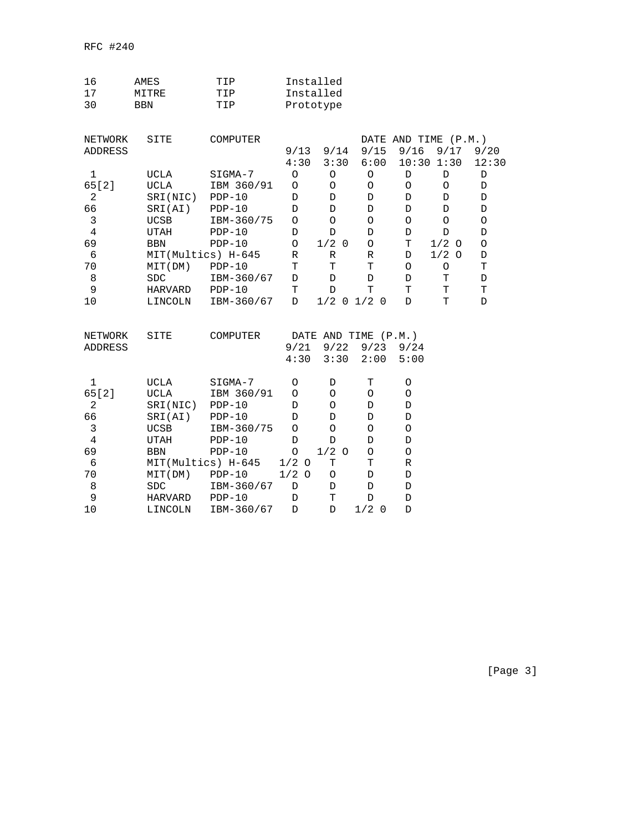| 16             | AMES           | TIP                |             | Installed      |                      |             |                      |             |
|----------------|----------------|--------------------|-------------|----------------|----------------------|-------------|----------------------|-------------|
| 17             | MITRE          | TIP                |             | Installed      |                      |             |                      |             |
| 30             | <b>BBN</b>     | TIP                |             | Prototype      |                      |             |                      |             |
| NETWORK        | SITE           | COMPUTER           |             |                |                      |             | DATE AND TIME (P.M.) |             |
| ADDRESS        |                |                    | 9/13        | 9/14           | 9/15                 | 9/16        | 9/17                 | 9/20        |
|                |                |                    | 4:30        | 3:30           | 6:00                 | 10:30       | 1:30                 | 12:30       |
| 1              | UCLA           | SIGMA-7            | $\circ$     | O              | $\circ$              | $\mathbb D$ | D                    | $\mathbb D$ |
| 65 [ 2 ]       | UCLA           | IBM 360/91         | $\circ$     | $\circ$        | $\circ$              | $\circ$     | $\circ$              | D           |
| $\mathbf{2}$   | SRI(NIC)       | $PDP-10$           | D           | D              | D                    | D           | D                    | D           |
| 66             | SRI(AI)        | $PDP-10$           | D           | D              | D                    | $\mathbb D$ | D                    | D           |
| 3              | <b>UCSB</b>    | IBM-360/75         | O           | $\circ$        | $\circ$              | O           | $\circ$              | O           |
| $\overline{4}$ | UTAH           | $PDP-10$           | D           | D              | D                    | D           | D                    | D           |
| 69             | <b>BBN</b>     | $PDP-10$           | $\circ$     | $1/2$ 0        | $\circ$              | Т           | $1/2$ O              | O           |
| 6              |                | MIT(Multics) H-645 | R           | $\mathbb R$    | R                    | $\mathbb D$ | $1/2$ O              | D           |
| 70             | MIT(DM)        | $PDP-10$           | T           | $\mathbf T$    | $\mathbf T$          | O           | $\circ$              | $\mathbf T$ |
| 8              | <b>SDC</b>     | IBM-360/67         | D           | D              | D                    | D           | т                    | D           |
| 9              | HARVARD        | $PDP-10$           | т           | D              | T                    | т           | Т                    | T           |
| 10             | LINCOLN        | IBM-360/67         | D           | $1/2$ 0        | $1/2$ 0              | D           | T                    | D           |
| NETWORK        | SITE           | COMPUTER           |             |                | DATE AND TIME (P.M.) |             |                      |             |
| ADDRESS        |                |                    | 9/21        | 9/22           | 9/23                 | 9/24        |                      |             |
|                |                |                    | 4:30        | 3:30           | 2:00                 | 5:00        |                      |             |
| $\mathbf 1$    | <b>UCLA</b>    | SIGMA-7            | O           | D              | T                    | O           |                      |             |
| 65[2]          | <b>UCLA</b>    | IBM 360/91         | O           | O              | $\circ$              | O           |                      |             |
| $\overline{2}$ | SRI(NIC)       | $PDP-10$           | D           | $\circ$        | D                    | D           |                      |             |
| 66             | SRI(AI)        | $PDP-10$           | D           | D              | D                    | D           |                      |             |
| $\mathsf 3$    | <b>UCSB</b>    | IBM-360/75         | O           | O              | $\circ$              | O           |                      |             |
| $\overline{4}$ | <b>UTAH</b>    | $PDP-10$           | D           | D              | D                    | D           |                      |             |
| 69             | <b>BBN</b>     | $PDP-10$           | $\circ$     | 1/2<br>$\circ$ | O                    | O           |                      |             |
| 6              |                | MIT(Multics) H-645 | $1/2$ O     | Т              | Т                    | R           |                      |             |
| 70             | MIT(DM)        | $PDP-10$           | $1/2$ 0     | $\bigcirc$     | $\mathbb D$          | $\mathbb D$ |                      |             |
| 8              | <b>SDC</b>     | IBM-360/67         | $\mathbb D$ | D              | $\mathbb D$          | D           |                      |             |
| 9              | <b>HARVARD</b> | $PDP-10$           | D           | т              | D                    | D           |                      |             |
| 10             | LINCOLN        | IBM-360/67         | D           | D              | $1/2$ 0              | D           |                      |             |

[Page 3]